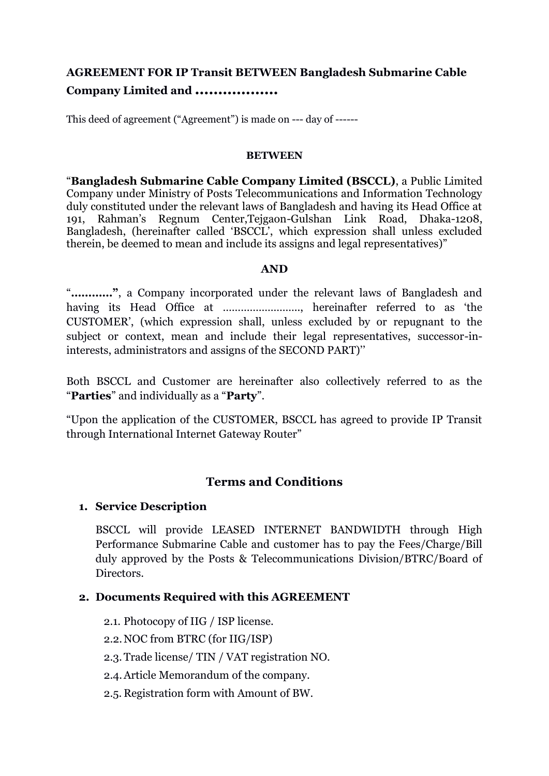# **AGREEMENT FOR IP Transit BETWEEN Bangladesh Submarine Cable Company Limited and ………………**

This deed of agreement ("Agreement") is made on --- day of ------

#### **BETWEEN**

"**Bangladesh Submarine Cable Company Limited (BSCCL)**, a Public Limited Company under Ministry of Posts Telecommunications and Information Technology duly constituted under the relevant laws of Bangladesh and having its Head Office at 191, Rahman's Regnum Center,Tejgaon-Gulshan Link Road, Dhaka-1208, Bangladesh, (hereinafter called 'BSCCL', which expression shall unless excluded therein, be deemed to mean and include its assigns and legal representatives)"

### **AND**

"**…………"**, a Company incorporated under the relevant laws of Bangladesh and having its Head Office at …………………….., hereinafter referred to as 'the CUSTOMER', (which expression shall, unless excluded by or repugnant to the subject or context, mean and include their legal representatives, successor-ininterests, administrators and assigns of the SECOND PART)''

Both BSCCL and Customer are hereinafter also collectively referred to as the "**Parties**" and individually as a "**Party**".

"Upon the application of the CUSTOMER, BSCCL has agreed to provide IP Transit through International Internet Gateway Router"

## **Terms and Conditions**

### **1. Service Description**

BSCCL will provide LEASED INTERNET BANDWIDTH through High Performance Submarine Cable and customer has to pay the Fees/Charge/Bill duly approved by the Posts & Telecommunications Division/BTRC/Board of Directors.

### **2. Documents Required with this AGREEMENT**

- 2.1. Photocopy of IIG / ISP license.
- 2.2.NOC from BTRC (for IIG/ISP)
- 2.3.Trade license/ TIN / VAT registration NO.
- 2.4.Article Memorandum of the company.
- 2.5. Registration form with Amount of BW.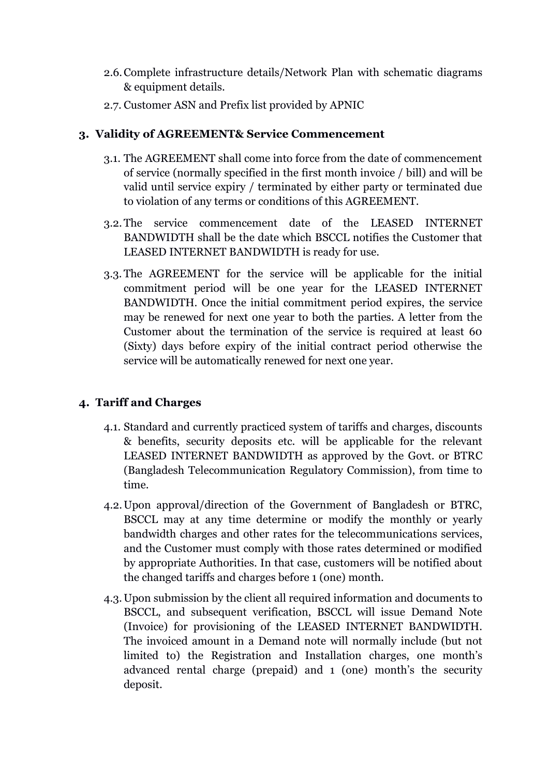- 2.6.Complete infrastructure details/Network Plan with schematic diagrams & equipment details.
- 2.7. Customer ASN and Prefix list provided by APNIC

# **3. Validity of AGREEMENT& Service Commencement**

- 3.1. The AGREEMENT shall come into force from the date of commencement of service (normally specified in the first month invoice / bill) and will be valid until service expiry / terminated by either party or terminated due to violation of any terms or conditions of this AGREEMENT.
- 3.2.The service commencement date of the LEASED INTERNET BANDWIDTH shall be the date which BSCCL notifies the Customer that LEASED INTERNET BANDWIDTH is ready for use.
- 3.3. The AGREEMENT for the service will be applicable for the initial commitment period will be one year for the LEASED INTERNET BANDWIDTH. Once the initial commitment period expires, the service may be renewed for next one year to both the parties. A letter from the Customer about the termination of the service is required at least 60 (Sixty) days before expiry of the initial contract period otherwise the service will be automatically renewed for next one year.

# **4. Tariff and Charges**

- 4.1. Standard and currently practiced system of tariffs and charges, discounts & benefits, security deposits etc. will be applicable for the relevant LEASED INTERNET BANDWIDTH as approved by the Govt. or BTRC (Bangladesh Telecommunication Regulatory Commission), from time to time.
- 4.2.Upon approval/direction of the Government of Bangladesh or BTRC, BSCCL may at any time determine or modify the monthly or yearly bandwidth charges and other rates for the telecommunications services, and the Customer must comply with those rates determined or modified by appropriate Authorities. In that case, customers will be notified about the changed tariffs and charges before 1 (one) month.
- 4.3.Upon submission by the client all required information and documents to BSCCL, and subsequent verification, BSCCL will issue Demand Note (Invoice) for provisioning of the LEASED INTERNET BANDWIDTH. The invoiced amount in a Demand note will normally include (but not limited to) the Registration and Installation charges, one month's advanced rental charge (prepaid) and 1 (one) month's the security deposit.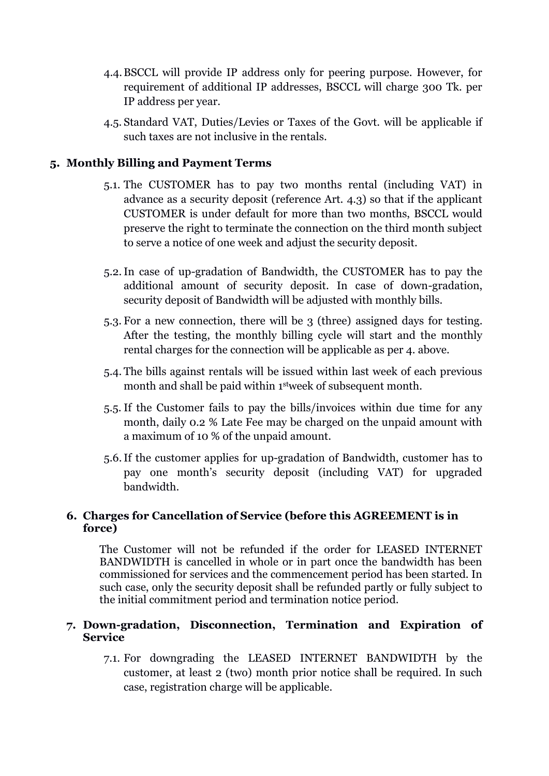- 4.4.BSCCL will provide IP address only for peering purpose. However, for requirement of additional IP addresses, BSCCL will charge 300 Tk. per IP address per year.
- 4.5. Standard VAT, Duties/Levies or Taxes of the Govt. will be applicable if such taxes are not inclusive in the rentals.

# **5. Monthly Billing and Payment Terms**

- 5.1. The CUSTOMER has to pay two months rental (including VAT) in advance as a security deposit (reference Art. 4.3) so that if the applicant CUSTOMER is under default for more than two months, BSCCL would preserve the right to terminate the connection on the third month subject to serve a notice of one week and adjust the security deposit.
- 5.2.In case of up-gradation of Bandwidth, the CUSTOMER has to pay the additional amount of security deposit. In case of down-gradation, security deposit of Bandwidth will be adjusted with monthly bills.
- 5.3. For a new connection, there will be 3 (three) assigned days for testing. After the testing, the monthly billing cycle will start and the monthly rental charges for the connection will be applicable as per 4. above.
- 5.4. The bills against rentals will be issued within last week of each previous month and shall be paid within 1stweek of subsequent month.
- 5.5. If the Customer fails to pay the bills/invoices within due time for any month, daily 0.2 % Late Fee may be charged on the unpaid amount with a maximum of 10 % of the unpaid amount.
- 5.6.If the customer applies for up-gradation of Bandwidth, customer has to pay one month's security deposit (including VAT) for upgraded bandwidth.

## **6. Charges for Cancellation of Service (before this AGREEMENT is in force)**

The Customer will not be refunded if the order for LEASED INTERNET BANDWIDTH is cancelled in whole or in part once the bandwidth has been commissioned for services and the commencement period has been started. In such case, only the security deposit shall be refunded partly or fully subject to the initial commitment period and termination notice period.

### **7. Down-gradation, Disconnection, Termination and Expiration of Service**

7.1. For downgrading the LEASED INTERNET BANDWIDTH by the customer, at least 2 (two) month prior notice shall be required. In such case, registration charge will be applicable.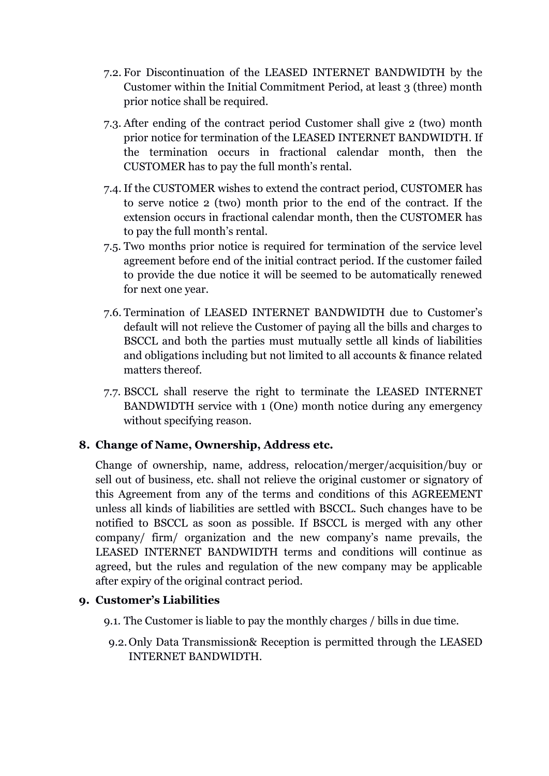- 7.2. For Discontinuation of the LEASED INTERNET BANDWIDTH by the Customer within the Initial Commitment Period, at least 3 (three) month prior notice shall be required.
- 7.3. After ending of the contract period Customer shall give 2 (two) month prior notice for termination of the LEASED INTERNET BANDWIDTH. If the termination occurs in fractional calendar month, then the CUSTOMER has to pay the full month's rental.
- 7.4. If the CUSTOMER wishes to extend the contract period, CUSTOMER has to serve notice 2 (two) month prior to the end of the contract. If the extension occurs in fractional calendar month, then the CUSTOMER has to pay the full month's rental.
- 7.5. Two months prior notice is required for termination of the service level agreement before end of the initial contract period. If the customer failed to provide the due notice it will be seemed to be automatically renewed for next one year.
- 7.6. Termination of LEASED INTERNET BANDWIDTH due to Customer's default will not relieve the Customer of paying all the bills and charges to BSCCL and both the parties must mutually settle all kinds of liabilities and obligations including but not limited to all accounts & finance related matters thereof.
- 7.7. BSCCL shall reserve the right to terminate the LEASED INTERNET BANDWIDTH service with 1 (One) month notice during any emergency without specifying reason.

# **8. Change of Name, Ownership, Address etc.**

Change of ownership, name, address, relocation/merger/acquisition/buy or sell out of business, etc. shall not relieve the original customer or signatory of this Agreement from any of the terms and conditions of this AGREEMENT unless all kinds of liabilities are settled with BSCCL. Such changes have to be notified to BSCCL as soon as possible. If BSCCL is merged with any other company/ firm/ organization and the new company's name prevails, the LEASED INTERNET BANDWIDTH terms and conditions will continue as agreed, but the rules and regulation of the new company may be applicable after expiry of the original contract period.

## **9. Customer's Liabilities**

- 9.1. The Customer is liable to pay the monthly charges / bills in due time.
- 9.2.Only Data Transmission& Reception is permitted through the LEASED INTERNET BANDWIDTH.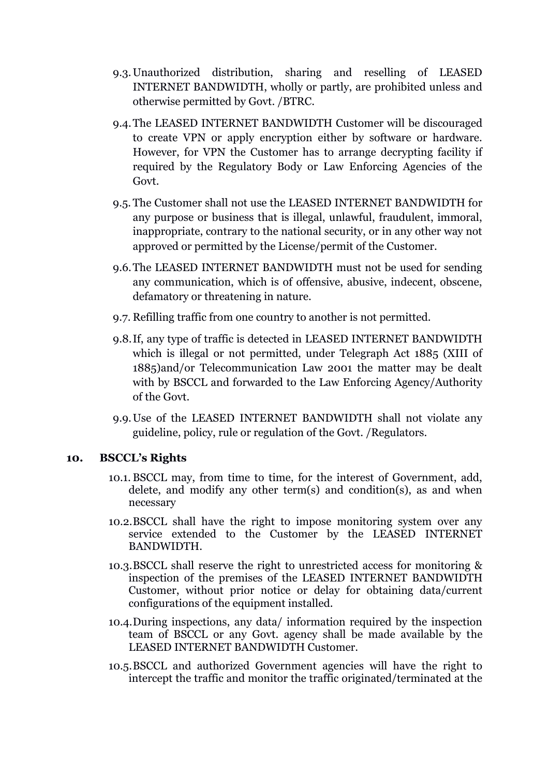- 9.3.Unauthorized distribution, sharing and reselling of LEASED INTERNET BANDWIDTH, wholly or partly, are prohibited unless and otherwise permitted by Govt. /BTRC.
- 9.4.The LEASED INTERNET BANDWIDTH Customer will be discouraged to create VPN or apply encryption either by software or hardware. However, for VPN the Customer has to arrange decrypting facility if required by the Regulatory Body or Law Enforcing Agencies of the Govt.
- 9.5. The Customer shall not use the LEASED INTERNET BANDWIDTH for any purpose or business that is illegal, unlawful, fraudulent, immoral, inappropriate, contrary to the national security, or in any other way not approved or permitted by the License/permit of the Customer.
- 9.6.The LEASED INTERNET BANDWIDTH must not be used for sending any communication, which is of offensive, abusive, indecent, obscene, defamatory or threatening in nature.
- 9.7. Refilling traffic from one country to another is not permitted.
- 9.8.If, any type of traffic is detected in LEASED INTERNET BANDWIDTH which is illegal or not permitted, under Telegraph Act 1885 (XIII of 1885)and/or Telecommunication Law 2001 the matter may be dealt with by BSCCL and forwarded to the Law Enforcing Agency/Authority of the Govt.
- 9.9.Use of the LEASED INTERNET BANDWIDTH shall not violate any guideline, policy, rule or regulation of the Govt. /Regulators.

### **10. BSCCL's Rights**

- 10.1. BSCCL may, from time to time, for the interest of Government, add, delete, and modify any other term(s) and condition(s), as and when necessary
- 10.2.BSCCL shall have the right to impose monitoring system over any service extended to the Customer by the LEASED INTERNET BANDWIDTH.
- 10.3.BSCCL shall reserve the right to unrestricted access for monitoring & inspection of the premises of the LEASED INTERNET BANDWIDTH Customer, without prior notice or delay for obtaining data/current configurations of the equipment installed.
- 10.4.During inspections, any data/ information required by the inspection team of BSCCL or any Govt. agency shall be made available by the LEASED INTERNET BANDWIDTH Customer.
- 10.5.BSCCL and authorized Government agencies will have the right to intercept the traffic and monitor the traffic originated/terminated at the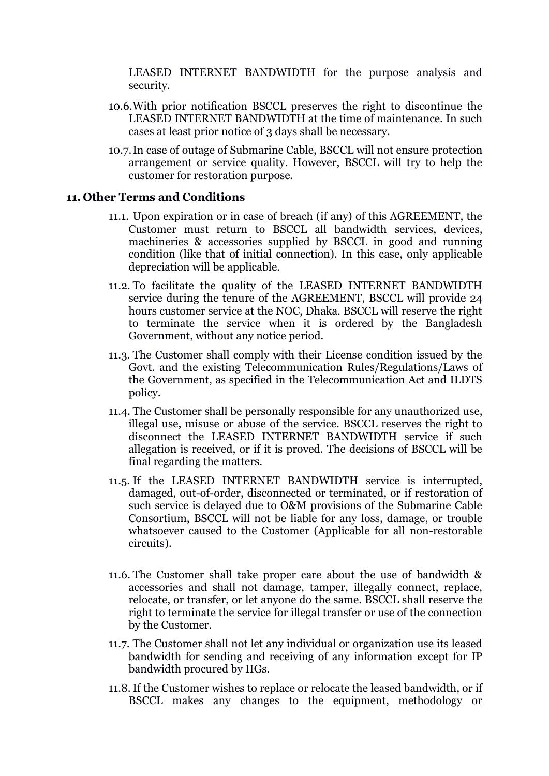LEASED INTERNET BANDWIDTH for the purpose analysis and security.

- 10.6.With prior notification BSCCL preserves the right to discontinue the LEASED INTERNET BANDWIDTH at the time of maintenance. In such cases at least prior notice of 3 days shall be necessary.
- 10.7.In case of outage of Submarine Cable, BSCCL will not ensure protection arrangement or service quality. However, BSCCL will try to help the customer for restoration purpose.

### **11. Other Terms and Conditions**

- 11.1. Upon expiration or in case of breach (if any) of this AGREEMENT, the Customer must return to BSCCL all bandwidth services, devices, machineries & accessories supplied by BSCCL in good and running condition (like that of initial connection). In this case, only applicable depreciation will be applicable.
- 11.2. To facilitate the quality of the LEASED INTERNET BANDWIDTH service during the tenure of the AGREEMENT, BSCCL will provide 24 hours customer service at the NOC, Dhaka. BSCCL will reserve the right to terminate the service when it is ordered by the Bangladesh Government, without any notice period.
- 11.3. The Customer shall comply with their License condition issued by the Govt. and the existing Telecommunication Rules/Regulations/Laws of the Government, as specified in the Telecommunication Act and ILDTS policy.
- 11.4. The Customer shall be personally responsible for any unauthorized use, illegal use, misuse or abuse of the service. BSCCL reserves the right to disconnect the LEASED INTERNET BANDWIDTH service if such allegation is received, or if it is proved. The decisions of BSCCL will be final regarding the matters.
- 11.5. If the LEASED INTERNET BANDWIDTH service is interrupted, damaged, out-of-order, disconnected or terminated, or if restoration of such service is delayed due to O&M provisions of the Submarine Cable Consortium, BSCCL will not be liable for any loss, damage, or trouble whatsoever caused to the Customer (Applicable for all non-restorable circuits).
- 11.6. The Customer shall take proper care about the use of bandwidth & accessories and shall not damage, tamper, illegally connect, replace, relocate, or transfer, or let anyone do the same. BSCCL shall reserve the right to terminate the service for illegal transfer or use of the connection by the Customer.
- 11.7. The Customer shall not let any individual or organization use its leased bandwidth for sending and receiving of any information except for IP bandwidth procured by IIGs.
- 11.8.If the Customer wishes to replace or relocate the leased bandwidth, or if BSCCL makes any changes to the equipment, methodology or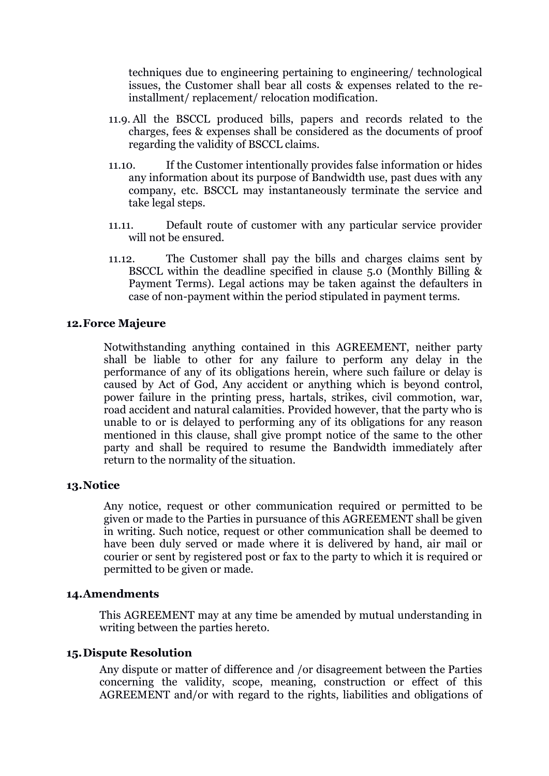techniques due to engineering pertaining to engineering/ technological issues, the Customer shall bear all costs & expenses related to the reinstallment/ replacement/ relocation modification.

- 11.9. All the BSCCL produced bills, papers and records related to the charges, fees & expenses shall be considered as the documents of proof regarding the validity of BSCCL claims.
- 11.10. If the Customer intentionally provides false information or hides any information about its purpose of Bandwidth use, past dues with any company, etc. BSCCL may instantaneously terminate the service and take legal steps.
- 11.11. Default route of customer with any particular service provider will not be ensured.
- 11.12. The Customer shall pay the bills and charges claims sent by BSCCL within the deadline specified in clause 5.0 (Monthly Billing & Payment Terms). Legal actions may be taken against the defaulters in case of non-payment within the period stipulated in payment terms.

### **12.Force Majeure**

Notwithstanding anything contained in this AGREEMENT, neither party shall be liable to other for any failure to perform any delay in the performance of any of its obligations herein, where such failure or delay is caused by Act of God, Any accident or anything which is beyond control, power failure in the printing press, hartals, strikes, civil commotion, war, road accident and natural calamities. Provided however, that the party who is unable to or is delayed to performing any of its obligations for any reason mentioned in this clause, shall give prompt notice of the same to the other party and shall be required to resume the Bandwidth immediately after return to the normality of the situation.

#### **13.Notice**

Any notice, request or other communication required or permitted to be given or made to the Parties in pursuance of this AGREEMENT shall be given in writing. Such notice, request or other communication shall be deemed to have been duly served or made where it is delivered by hand, air mail or courier or sent by registered post or fax to the party to which it is required or permitted to be given or made.

### **14.Amendments**

This AGREEMENT may at any time be amended by mutual understanding in writing between the parties hereto.

### **15.Dispute Resolution**

Any dispute or matter of difference and /or disagreement between the Parties concerning the validity, scope, meaning, construction or effect of this AGREEMENT and/or with regard to the rights, liabilities and obligations of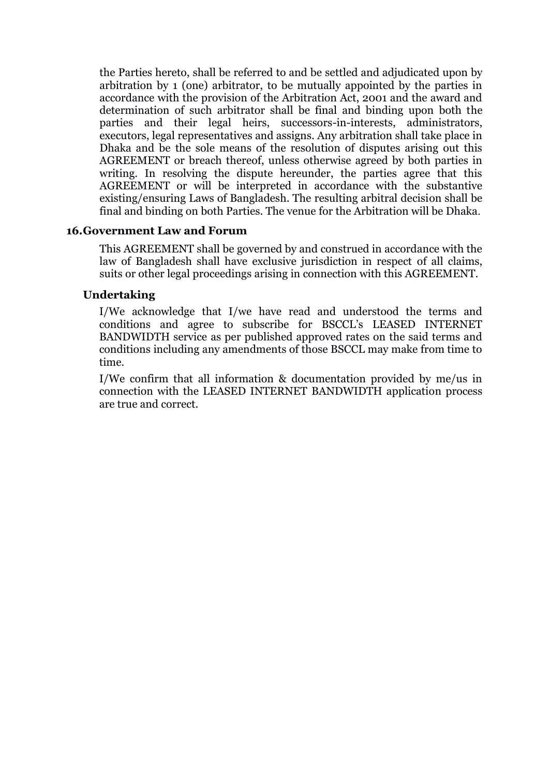the Parties hereto, shall be referred to and be settled and adjudicated upon by arbitration by 1 (one) arbitrator, to be mutually appointed by the parties in accordance with the provision of the Arbitration Act, 2001 and the award and determination of such arbitrator shall be final and binding upon both the parties and their legal heirs, successors-in-interests, administrators, executors, legal representatives and assigns. Any arbitration shall take place in Dhaka and be the sole means of the resolution of disputes arising out this AGREEMENT or breach thereof, unless otherwise agreed by both parties in writing. In resolving the dispute hereunder, the parties agree that this AGREEMENT or will be interpreted in accordance with the substantive existing/ensuring Laws of Bangladesh. The resulting arbitral decision shall be final and binding on both Parties. The venue for the Arbitration will be Dhaka.

### **16.Government Law and Forum**

This AGREEMENT shall be governed by and construed in accordance with the law of Bangladesh shall have exclusive jurisdiction in respect of all claims, suits or other legal proceedings arising in connection with this AGREEMENT.

### **Undertaking**

I/We acknowledge that I/we have read and understood the terms and conditions and agree to subscribe for BSCCL's LEASED INTERNET BANDWIDTH service as per published approved rates on the said terms and conditions including any amendments of those BSCCL may make from time to time.

I/We confirm that all information & documentation provided by me/us in connection with the LEASED INTERNET BANDWIDTH application process are true and correct.